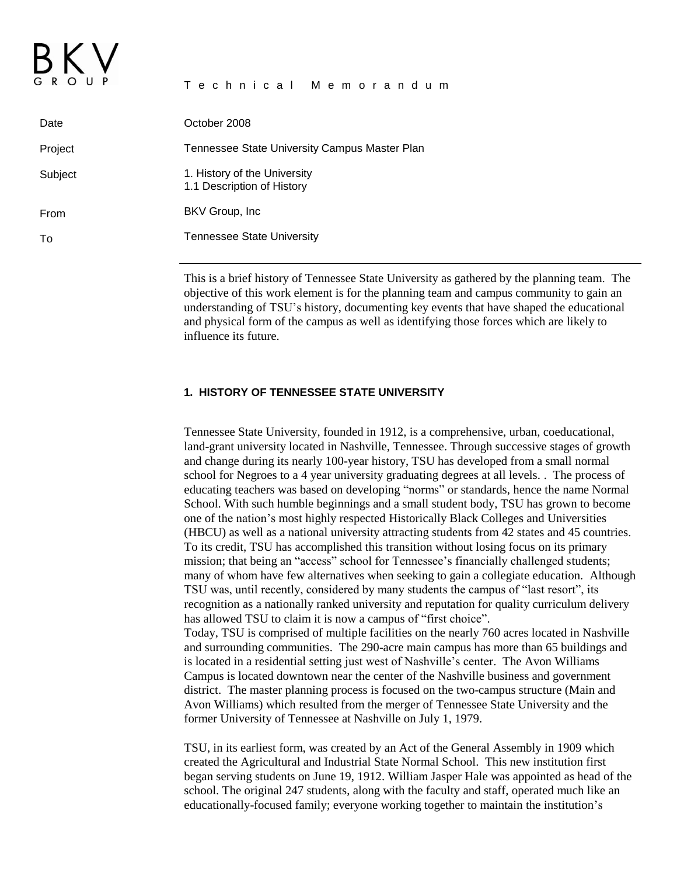| 5 R O U P | Technical Memorandum                                       |
|-----------|------------------------------------------------------------|
| Date      | October 2008                                               |
| Project   | Tennessee State University Campus Master Plan              |
| Subject   | 1. History of the University<br>1.1 Description of History |
| From      | BKV Group, Inc.                                            |
| To        | <b>Tennessee State University</b>                          |
|           |                                                            |

This is a brief history of Tennessee State University as gathered by the planning team. The objective of this work element is for the planning team and campus community to gain an understanding of TSU's history, documenting key events that have shaped the educational and physical form of the campus as well as identifying those forces which are likely to influence its future.

#### **1. HISTORY OF TENNESSEE STATE UNIVERSITY**

Tennessee State University, founded in 1912, is a comprehensive, urban, coeducational, land-grant university located in Nashville, Tennessee. Through successive stages of growth and change during its nearly 100-year history, TSU has developed from a small normal school for Negroes to a 4 year university graduating degrees at all levels. . The process of educating teachers was based on developing "norms" or standards, hence the name Normal School. With such humble beginnings and a small student body, TSU has grown to become one of the nation's most highly respected Historically Black Colleges and Universities (HBCU) as well as a national university attracting students from 42 states and 45 countries. To its credit, TSU has accomplished this transition without losing focus on its primary mission; that being an "access" school for Tennessee's financially challenged students; many of whom have few alternatives when seeking to gain a collegiate education. Although TSU was, until recently, considered by many students the campus of "last resort", its recognition as a nationally ranked university and reputation for quality curriculum delivery has allowed TSU to claim it is now a campus of "first choice". Today, TSU is comprised of multiple facilities on the nearly 760 acres located in Nashville and surrounding communities. The 290-acre main campus has more than 65 buildings and is located in a residential setting just west of Nashville's center. The Avon Williams Campus is located downtown near the center of the Nashville business and government district. The master planning process is focused on the two-campus structure (Main and Avon Williams) which resulted from the merger of Tennessee State University and the former University of Tennessee at Nashville on July 1, 1979.

TSU, in its earliest form, was created by an Act of the General Assembly in 1909 which created the Agricultural and Industrial State Normal School. This new institution first began serving students on June 19, 1912. William Jasper Hale was appointed as head of the school. The original 247 students, along with the faculty and staff, operated much like an educationally-focused family; everyone working together to maintain the institution's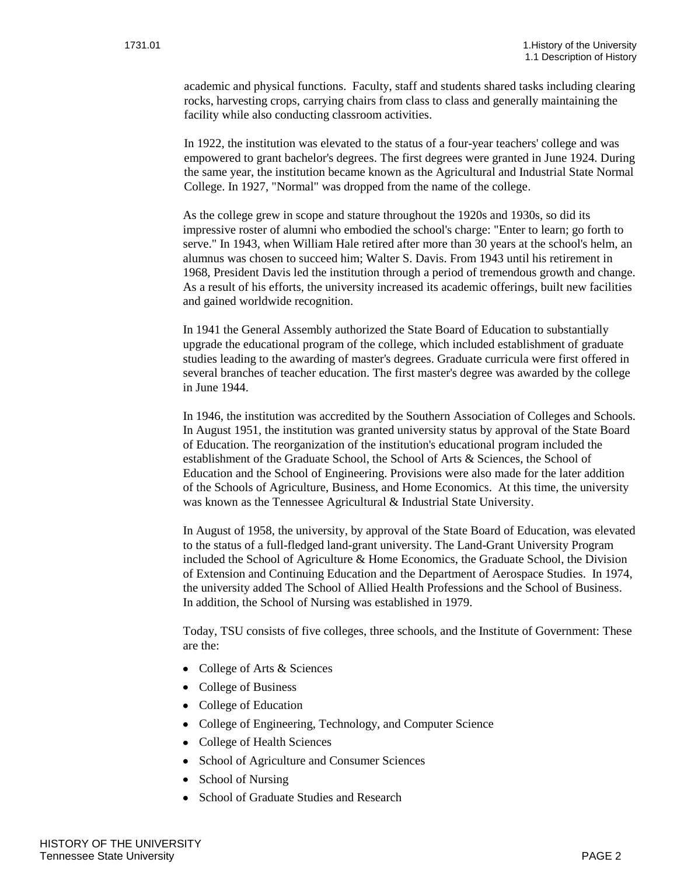academic and physical functions. Faculty, staff and students shared tasks including clearing rocks, harvesting crops, carrying chairs from class to class and generally maintaining the facility while also conducting classroom activities.

In 1922, the institution was elevated to the status of a four-year teachers' college and was empowered to grant bachelor's degrees. The first degrees were granted in June 1924. During the same year, the institution became known as the Agricultural and Industrial State Normal College. In 1927, "Normal" was dropped from the name of the college.

As the college grew in scope and stature throughout the 1920s and 1930s, so did its impressive roster of alumni who embodied the school's charge: "Enter to learn; go forth to serve." In 1943, when William Hale retired after more than 30 years at the school's helm, an alumnus was chosen to succeed him; Walter S. Davis. From 1943 until his retirement in 1968, President Davis led the institution through a period of tremendous growth and change. As a result of his efforts, the university increased its academic offerings, built new facilities and gained worldwide recognition.

In 1941 the General Assembly authorized the State Board of Education to substantially upgrade the educational program of the college, which included establishment of graduate studies leading to the awarding of master's degrees. Graduate curricula were first offered in several branches of teacher education. The first master's degree was awarded by the college in June 1944.

In 1946, the institution was accredited by the Southern Association of Colleges and Schools. In August 1951, the institution was granted university status by approval of the State Board of Education. The reorganization of the institution's educational program included the establishment of the Graduate School, the School of Arts & Sciences, the School of Education and the School of Engineering. Provisions were also made for the later addition of the Schools of Agriculture, Business, and Home Economics. At this time, the university was known as the Tennessee Agricultural & Industrial State University.

In August of 1958, the university, by approval of the State Board of Education, was elevated to the status of a full-fledged land-grant university. The Land-Grant University Program included the School of Agriculture & Home Economics, the Graduate School, the Division of Extension and Continuing Education and the Department of Aerospace Studies. In 1974, the university added The School of Allied Health Professions and the School of Business. In addition, the School of Nursing was established in 1979.

Today, TSU consists of five colleges, three schools, and the Institute of Government: These are the:

- College of Arts & Sciences
- College of Business
- College of Education
- College of Engineering, Technology, and Computer Science
- College of Health Sciences
- School of Agriculture and Consumer Sciences
- School of Nursing
- School of Graduate Studies and Research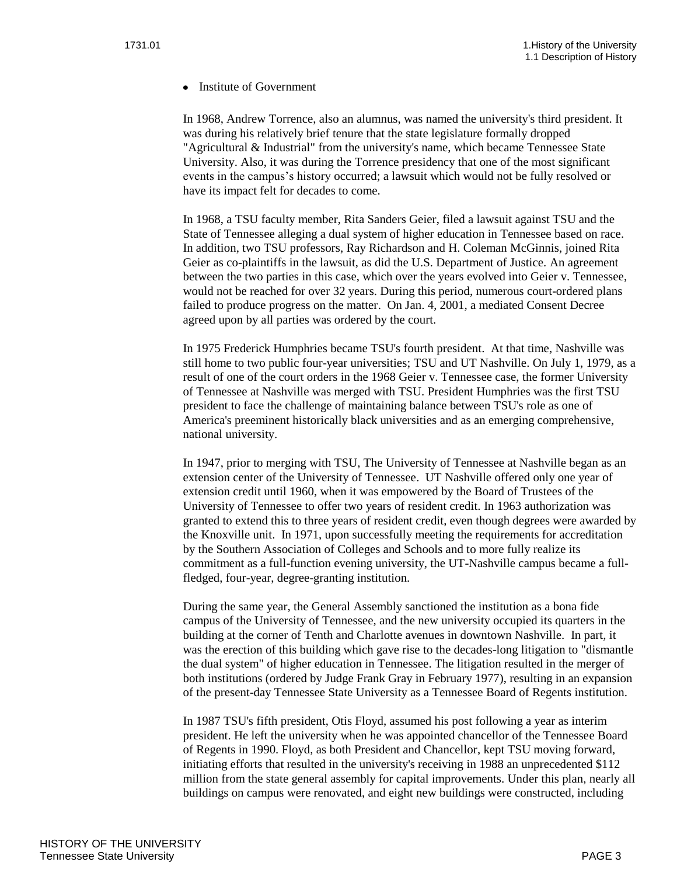• Institute of Government

In 1968, Andrew Torrence, also an alumnus, was named the university's third president. It was during his relatively brief tenure that the state legislature formally dropped "Agricultural & Industrial" from the university's name, which became Tennessee State University. Also, it was during the Torrence presidency that one of the most significant events in the campus's history occurred; a lawsuit which would not be fully resolved or have its impact felt for decades to come.

In 1968, a TSU faculty member, Rita Sanders Geier, filed a lawsuit against TSU and the State of Tennessee alleging a dual system of higher education in Tennessee based on race. In addition, two TSU professors, Ray Richardson and H. Coleman McGinnis, joined Rita Geier as co-plaintiffs in the lawsuit, as did the U.S. Department of Justice. An agreement between the two parties in this case, which over the years evolved into Geier v. Tennessee, would not be reached for over 32 years. During this period, numerous court-ordered plans failed to produce progress on the matter. On Jan. 4, 2001, a mediated Consent Decree agreed upon by all parties was ordered by the court.

In 1975 Frederick Humphries became TSU's fourth president. At that time, Nashville was still home to two public four-year universities; TSU and UT Nashville. On July 1, 1979, as a result of one of the court orders in the 1968 Geier v. Tennessee case, the former University of Tennessee at Nashville was merged with TSU. President Humphries was the first TSU president to face the challenge of maintaining balance between TSU's role as one of America's preeminent historically black universities and as an emerging comprehensive, national university.

In 1947, prior to merging with TSU, The University of Tennessee at Nashville began as an extension center of the University of Tennessee. UT Nashville offered only one year of extension credit until 1960, when it was empowered by the Board of Trustees of the University of Tennessee to offer two years of resident credit. In 1963 authorization was granted to extend this to three years of resident credit, even though degrees were awarded by the Knoxville unit. In 1971, upon successfully meeting the requirements for accreditation by the Southern Association of Colleges and Schools and to more fully realize its commitment as a full-function evening university, the UT-Nashville campus became a fullfledged, four-year, degree-granting institution.

During the same year, the General Assembly sanctioned the institution as a bona fide campus of the University of Tennessee, and the new university occupied its quarters in the building at the corner of Tenth and Charlotte avenues in downtown Nashville. In part, it was the erection of this building which gave rise to the decades-long litigation to "dismantle the dual system" of higher education in Tennessee. The litigation resulted in the merger of both institutions (ordered by Judge Frank Gray in February 1977), resulting in an expansion of the present-day Tennessee State University as a Tennessee Board of Regents institution.

In 1987 TSU's fifth president, Otis Floyd, assumed his post following a year as interim president. He left the university when he was appointed chancellor of the Tennessee Board of Regents in 1990. Floyd, as both President and Chancellor, kept TSU moving forward, initiating efforts that resulted in the university's receiving in 1988 an unprecedented \$112 million from the state general assembly for capital improvements. Under this plan, nearly all buildings on campus were renovated, and eight new buildings were constructed, including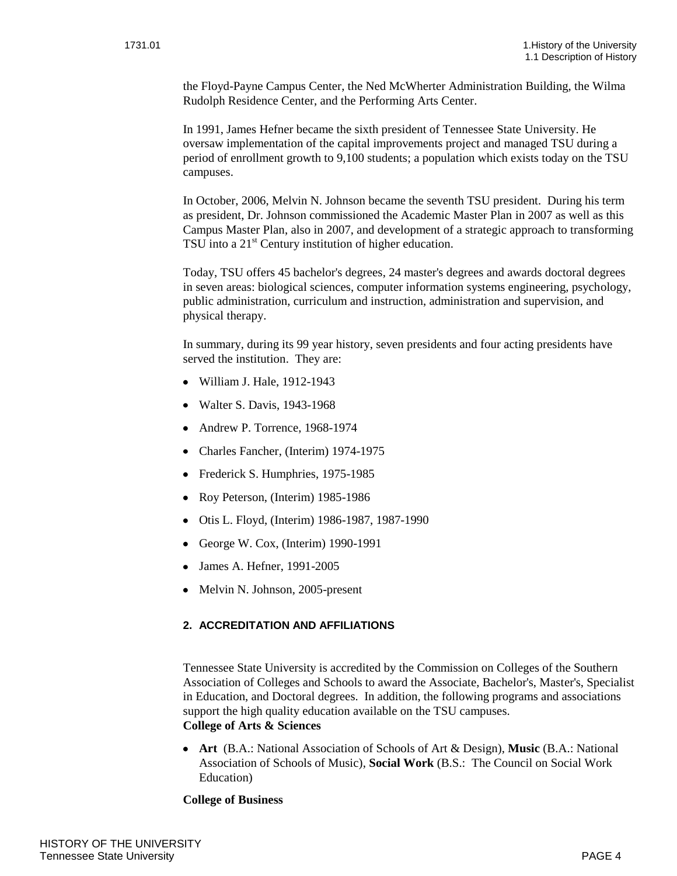the Floyd-Payne Campus Center, the Ned McWherter Administration Building, the Wilma Rudolph Residence Center, and the Performing Arts Center.

In 1991, James Hefner became the sixth president of Tennessee State University. He oversaw implementation of the capital improvements project and managed TSU during a period of enrollment growth to 9,100 students; a population which exists today on the TSU campuses.

In October, 2006, Melvin N. Johnson became the seventh TSU president. During his term as president, Dr. Johnson commissioned the Academic Master Plan in 2007 as well as this Campus Master Plan, also in 2007, and development of a strategic approach to transforming TSU into a  $21<sup>st</sup>$  Century institution of higher education.

Today, TSU offers 45 bachelor's degrees, 24 master's degrees and awards doctoral degrees in seven areas: biological sciences, computer information systems engineering, psychology, public administration, curriculum and instruction, administration and supervision, and physical therapy.

In summary, during its 99 year history, seven presidents and four acting presidents have served the institution. They are:

- William J. Hale, 1912-1943
- Walter S. Davis, 1943-1968
- Andrew P. Torrence, 1968-1974
- Charles Fancher, (Interim) 1974-1975
- Frederick S. Humphries, 1975-1985
- Roy Peterson, (Interim) 1985-1986
- Otis L. Floyd, (Interim) 1986-1987, 1987-1990
- George W. Cox, (Interim)  $1990-1991$
- James A. Hefner, 1991-2005
- Melvin N. Johnson, 2005-present

# **2. ACCREDITATION AND AFFILIATIONS**

Tennessee State University is accredited by the Commission on Colleges of the Southern Association of Colleges and Schools to award the Associate, Bachelor's, Master's, Specialist in Education, and Doctoral degrees. In addition, the following programs and associations support the high quality education available on the TSU campuses.

# **College of Arts & Sciences**

**Art** (B.A.: National Association of Schools of Art & Design), **Music** (B.A.: National Association of Schools of Music), **Social Work** (B.S.: The Council on Social Work Education)

## **College of Business**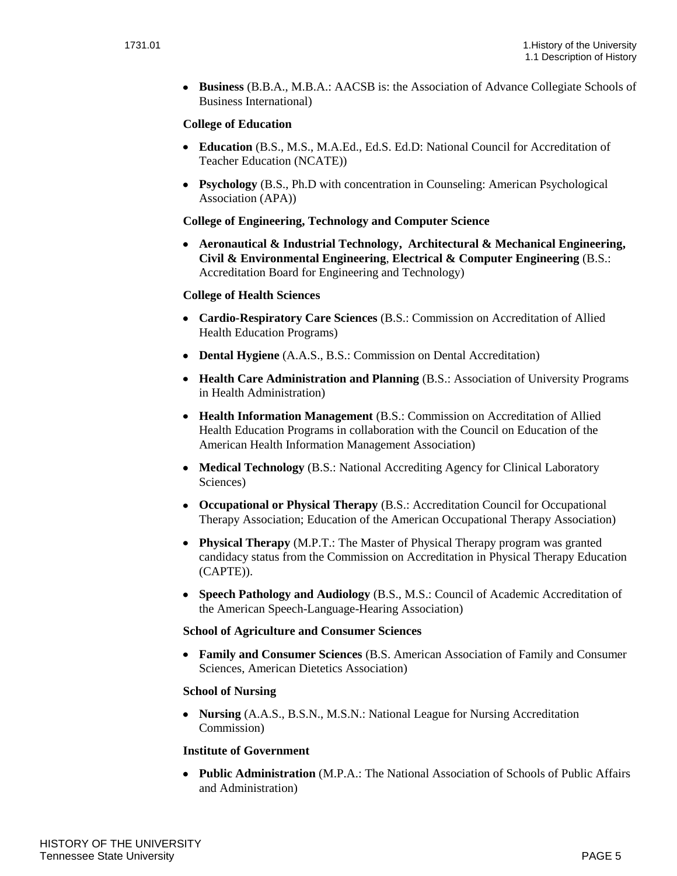**Business** (B.B.A., M.B.A.: AACSB is: the Association of Advance Collegiate Schools of Business International)

## **College of Education**

- **Education** (B.S., M.S., M.A.Ed., Ed.S. Ed.D: National Council for Accreditation of Teacher Education (NCATE))
- **Psychology** (B.S., Ph.D with concentration in Counseling: American Psychological Association (APA))

## **College of Engineering, Technology and Computer Science**

**Aeronautical & Industrial Technology, Architectural & Mechanical Engineering, Civil & Environmental Engineering**, **Electrical & Computer Engineering** (B.S.: Accreditation Board for Engineering and Technology)

## **College of Health Sciences**

- **Cardio-Respiratory Care Sciences** (B.S.: Commission on Accreditation of Allied Health Education Programs)
- **Dental Hygiene** (A.A.S., B.S.: Commission on Dental Accreditation)
- **Health Care Administration and Planning** (B.S.: Association of University Programs in Health Administration)
- **Health Information Management** (B.S.: Commission on Accreditation of Allied Health Education Programs in collaboration with the Council on Education of the American Health Information Management Association)
- **Medical Technology** (B.S.: National Accrediting Agency for Clinical Laboratory Sciences)
- **Occupational or Physical Therapy** (B.S.: Accreditation Council for Occupational Therapy Association; Education of the American Occupational Therapy Association)
- **Physical Therapy** (M.P.T.: The Master of Physical Therapy program was granted candidacy status from the Commission on Accreditation in Physical Therapy Education (CAPTE)).
- **Speech Pathology and Audiology** (B.S., M.S.: Council of Academic Accreditation of the American Speech-Language-Hearing Association)

## **School of Agriculture and Consumer Sciences**

**Family and Consumer Sciences** (B.S. American Association of Family and Consumer Sciences, American Dietetics Association)

## **School of Nursing**

**Nursing** (A.A.S., B.S.N., M.S.N.: National League for Nursing Accreditation Commission)

## **Institute of Government**

**Public Administration** (M.P.A.: The National Association of Schools of Public Affairs and Administration)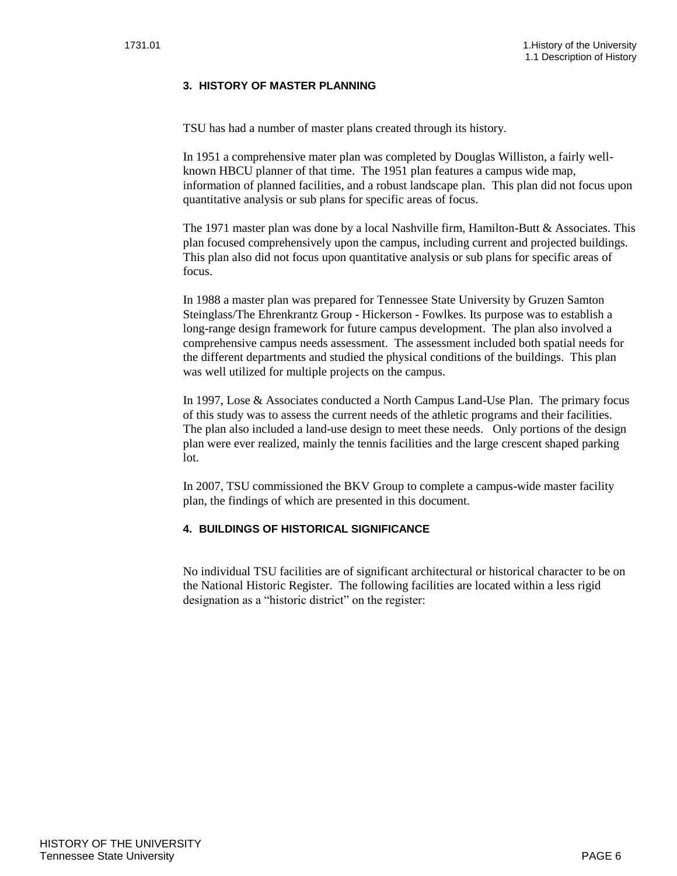# **3. HISTORY OF MASTER PLANNING**

TSU has had a number of master plans created through its history.

In 1951 a comprehensive mater plan was completed by Douglas Williston, a fairly wellknown HBCU planner of that time. The 1951 plan features a campus wide map, information of planned facilities, and a robust landscape plan. This plan did not focus upon quantitative analysis or sub plans for specific areas of focus.

The 1971 master plan was done by a local Nashville firm, Hamilton-Butt & Associates. This plan focused comprehensively upon the campus, including current and projected buildings. This plan also did not focus upon quantitative analysis or sub plans for specific areas of focus.

In 1988 a master plan was prepared for Tennessee State University by Gruzen Samton Steinglass/The Ehrenkrantz Group - Hickerson - Fowlkes. Its purpose was to establish a long-range design framework for future campus development. The plan also involved a comprehensive campus needs assessment. The assessment included both spatial needs for the different departments and studied the physical conditions of the buildings. This plan was well utilized for multiple projects on the campus.

In 1997, Lose & Associates conducted a North Campus Land-Use Plan. The primary focus of this study was to assess the current needs of the athletic programs and their facilities. The plan also included a land-use design to meet these needs. Only portions of the design plan were ever realized, mainly the tennis facilities and the large crescent shaped parking lot.

In 2007, TSU commissioned the BKV Group to complete a campus-wide master facility plan, the findings of which are presented in this document.

## **4. BUILDINGS OF HISTORICAL SIGNIFICANCE**

No individual TSU facilities are of significant architectural or historical character to be on the National Historic Register. The following facilities are located within a less rigid designation as a "historic district" on the register: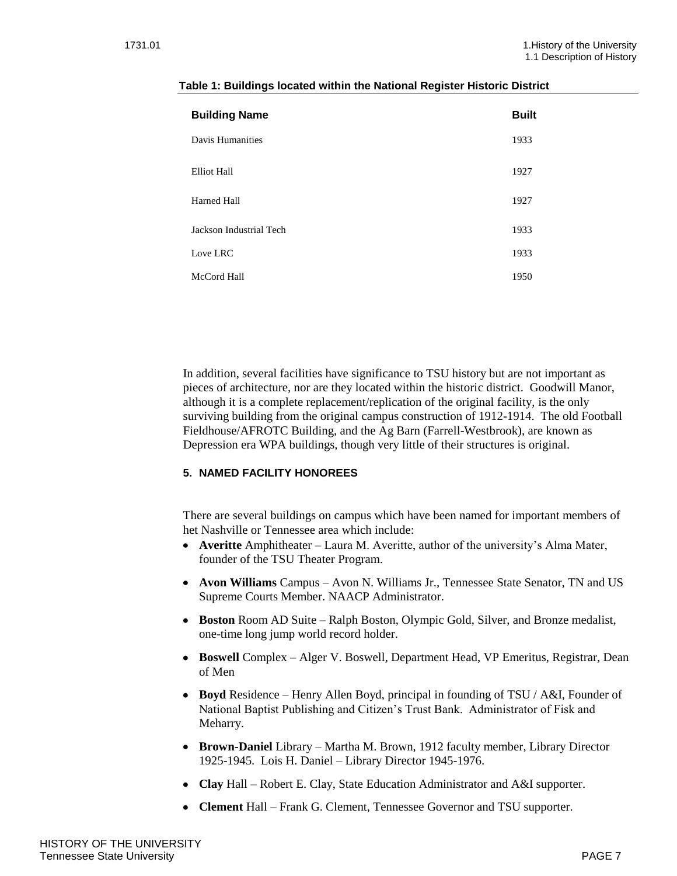| <b>Building Name</b>    | <b>Built</b> |
|-------------------------|--------------|
| Davis Humanities        | 1933         |
| <b>Elliot Hall</b>      | 1927         |
| Harned Hall             | 1927         |
| Jackson Industrial Tech | 1933         |
| Love LRC                | 1933         |
| McCord Hall             | 1950         |

#### **Table 1: Buildings located within the National Register Historic District**

In addition, several facilities have significance to TSU history but are not important as pieces of architecture, nor are they located within the historic district. Goodwill Manor, although it is a complete replacement/replication of the original facility, is the only surviving building from the original campus construction of 1912-1914. The old Football Fieldhouse/AFROTC Building, and the Ag Barn (Farrell-Westbrook), are known as Depression era WPA buildings, though very little of their structures is original.

## **5. NAMED FACILITY HONOREES**

There are several buildings on campus which have been named for important members of het Nashville or Tennessee area which include:

- **Averitte** Amphitheater Laura M. Averitte, author of the university's Alma Mater, founder of the TSU Theater Program.
- **Avon Williams** Campus Avon N. Williams Jr., Tennessee State Senator, TN and US Supreme Courts Member. NAACP Administrator.
- **Boston** Room AD Suite Ralph Boston, Olympic Gold, Silver, and Bronze medalist, one-time long jump world record holder.
- **Boswell** Complex Alger V. Boswell, Department Head, VP Emeritus, Registrar, Dean of Men
- **Boyd** Residence Henry Allen Boyd, principal in founding of TSU / A&I, Founder of National Baptist Publishing and Citizen's Trust Bank. Administrator of Fisk and Meharry.
- **Brown-Daniel** Library Martha M. Brown, 1912 faculty member, Library Director 1925-1945. Lois H. Daniel – Library Director 1945-1976.
- **Clay** Hall Robert E. Clay, State Education Administrator and A&I supporter.
- **Clement** Hall Frank G. Clement, Tennessee Governor and TSU supporter.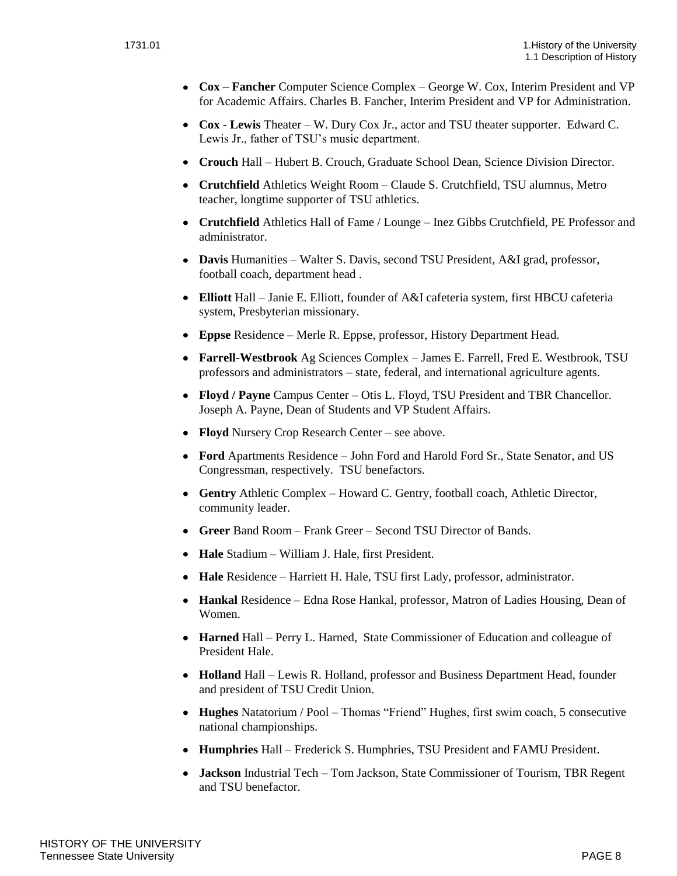- **Cox – Fancher** Computer Science Complex George W. Cox, Interim President and VP for Academic Affairs. Charles B. Fancher, Interim President and VP for Administration.
- **Cox - Lewis** Theater W. Dury Cox Jr., actor and TSU theater supporter. Edward C. Lewis Jr., father of TSU's music department.
- **Crouch** Hall Hubert B. Crouch, Graduate School Dean, Science Division Director.
- **Crutchfield** Athletics Weight Room Claude S. Crutchfield, TSU alumnus, Metro teacher, longtime supporter of TSU athletics.
- **Crutchfield** Athletics Hall of Fame / Lounge Inez Gibbs Crutchfield, PE Professor and administrator.
- **Davis** Humanities Walter S. Davis, second TSU President, A&I grad, professor, football coach, department head .
- **Elliott** Hall Janie E. Elliott, founder of A&I cafeteria system, first HBCU cafeteria system, Presbyterian missionary.
- **Eppse** Residence Merle R. Eppse, professor, History Department Head.
- **Farrell-Westbrook** Ag Sciences Complex James E. Farrell, Fred E. Westbrook, TSU professors and administrators – state, federal, and international agriculture agents.
- **Floyd / Payne** Campus Center Otis L. Floyd, TSU President and TBR Chancellor. Joseph A. Payne, Dean of Students and VP Student Affairs.
- **Floyd** Nursery Crop Research Center see above.
- **Ford** Apartments Residence John Ford and Harold Ford Sr., State Senator, and US Congressman, respectively. TSU benefactors.
- **Gentry** Athletic Complex Howard C. Gentry, football coach, Athletic Director, community leader.
- **Greer** Band Room Frank Greer Second TSU Director of Bands.
- **Hale** Stadium William J. Hale, first President.
- **Hale** Residence Harriett H. Hale, TSU first Lady, professor, administrator.
- **Hankal** Residence Edna Rose Hankal, professor, Matron of Ladies Housing, Dean of Women.
- **Harned** Hall Perry L. Harned, State Commissioner of Education and colleague of President Hale.
- **Holland** Hall Lewis R. Holland, professor and Business Department Head, founder and president of TSU Credit Union.
- **Hughes** Natatorium / Pool Thomas "Friend" Hughes, first swim coach, 5 consecutive national championships.
- **Humphries** Hall Frederick S. Humphries, TSU President and FAMU President.
- **Jackson** Industrial Tech Tom Jackson, State Commissioner of Tourism, TBR Regent and TSU benefactor.